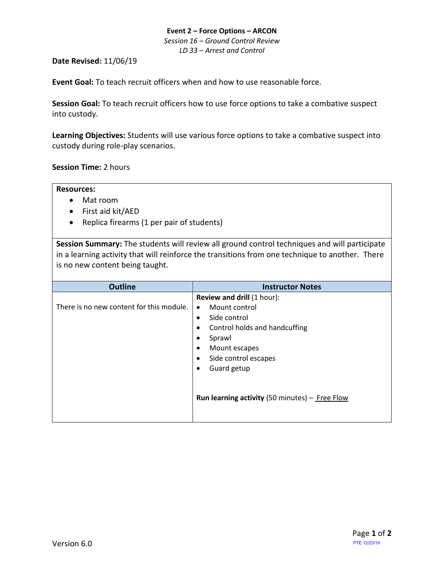## **Event 2 – Force Options – ARCON** *Session 16 – Ground Control Review LD 33 – Arrest and Control*

### **Date Revised:** 11/06/19

**Event Goal:** To teach recruit officers when and how to use reasonable force.

**Session Goal:** To teach recruit officers how to use force options to take a combative suspect into custody.

**Learning Objectives:** Students will use various force options to take a combative suspect into custody during role-play scenarios.

**Session Time:** 2 hours

**Resources:**

- Mat room
- First aid kit/AED
- Replica firearms (1 per pair of students)

**Session Summary:** The students will review all ground control techniques and will participate in a learning activity that will reinforce the transitions from one technique to another. There is no new content being taught.

| <b>Instructor Notes</b>                                                                                                                                                                                                |
|------------------------------------------------------------------------------------------------------------------------------------------------------------------------------------------------------------------------|
| <b>Review and drill (1 hour):</b><br>Mount control<br>Side control<br>Control holds and handcuffing<br>Mount escapes<br>Side control escapes<br>Guard getup<br><b>Run learning activity</b> (50 minutes) $-$ Free Flow |
|                                                                                                                                                                                                                        |